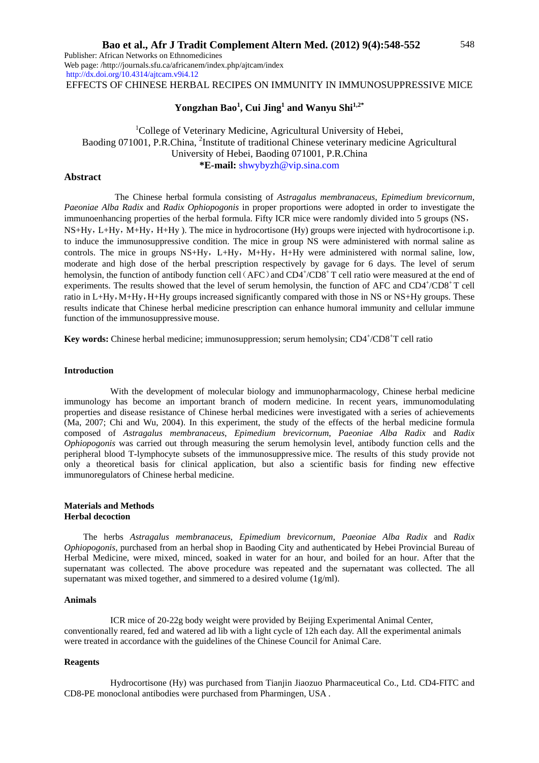**Bao et al., Afr J Tradit Complement Altern Med. (2012) 9(4):548-552**  Publisher: African Networks on Ethnomedicines Web page: /http://journals.sfu.ca/africanem/index.php/ajtcam/index http://dx.doi.org/10.4314/ajtcam.v9i4.12 EFFECTS OF CHINESE HERBAL RECIPES ON IMMUNITY IN IMMUNOSUPPRESSIVE MICE

# **Yongzhan Bao<sup>1</sup> , Cui Jing1 and Wanyu Shi1,2\***

# <sup>1</sup>College of Veterinary Medicine, Agricultural University of Hebei, Baoding 071001, P.R.China, <sup>2</sup>Institute of traditional Chinese veterinary medicine Agricultural University of Hebei, Baoding 071001, P.R.China **\*E-mail:** shwybyzh@vip.sina.com

### **Abstract**

 The Chinese herbal formula consisting of *Astragalus membranaceus*, *Epimedium brevicornum*, *Paeoniae Alba Radix* and *Radix Ophiopogonis* in proper proportions were adopted in order to investigate the immunoenhancing properties of the herbal formula. Fifty ICR mice were randomly divided into 5 groups (NS, NS+Hy, L+Hy, M+Hy, H+Hy ). The mice in hydrocortisone (Hy) groups were injected with hydrocortisone i.p. to induce the immunosuppressive condition. The mice in group NS were administered with normal saline as controls. The mice in groups  $NS+Hy$ , L+Hy, M+Hy, H+Hy were administered with normal saline, low, moderate and high dose of the herbal prescription respectively by gavage for 6 days. The level of serum hemolysin, the function of antibody function cell (AFC) and CD4<sup>+</sup>/CD8<sup>+</sup>T cell ratio were measured at the end of experiments. The results showed that the level of serum hemolysin, the function of AFC and CD4+/CD8+T cell ratio in L+Hy, M+Hy, H+Hy groups increased significantly compared with those in NS or NS+Hy groups. These results indicate that Chinese herbal medicine prescription can enhance humoral immunity and cellular immune function of the immunosuppressive mouse.

Key words: Chinese herbal medicine; immunosuppression; serum hemolysin; CD4<sup>+</sup>/CD8<sup>+</sup>T cell ratio

### **Introduction**

 With the development of molecular biology and immunopharmacology, Chinese herbal medicine immunology has become an important branch of modern medicine. In recent years, immunomodulating properties and disease resistance of Chinese herbal medicines were investigated with a series of achievements (Ma, 2007; Chi and Wu, 2004). In this experiment, the study of the effects of the herbal medicine formula composed of *Astragalus membranaceus*, *Epimedium brevicornum*, *Paeoniae Alba Radix* and *Radix Ophiopogonis* was carried out through measuring the serum hemolysin level, antibody function cells and the peripheral blood T-lymphocyte subsets of the immunosuppressive mice. The results of this study provide not only a theoretical basis for clinical application, but also a scientific basis for finding new effective immunoregulators of Chinese herbal medicine.

### **Materials and Methods Herbal decoction**

The herbs *Astragalus membranaceus*, *Epimedium brevicornum*, *Paeoniae Alba Radix* and *Radix Ophiopogonis*, purchased from an herbal shop in Baoding City and authenticated by Hebei Provincial Bureau of Herbal Medicine, were mixed, minced, soaked in water for an hour, and boiled for an hour. After that the supernatant was collected. The above procedure was repeated and the supernatant was collected. The all supernatant was mixed together, and simmered to a desired volume (1g/ml).

#### **Animals**

 ICR mice of 20-22g body weight were provided by Beijing Experimental Animal Center, conventionally reared, fed and watered ad lib with a light cycle of 12h each day. All the experimental animals were treated in accordance with the guidelines of the Chinese Council for Animal Care.

#### **Reagents**

 Hydrocortisone (Hy) was purchased from Tianjin Jiaozuo Pharmaceutical Co., Ltd. CD4-FITC and CD8-PE monoclonal antibodies were purchased from Pharmingen, USA .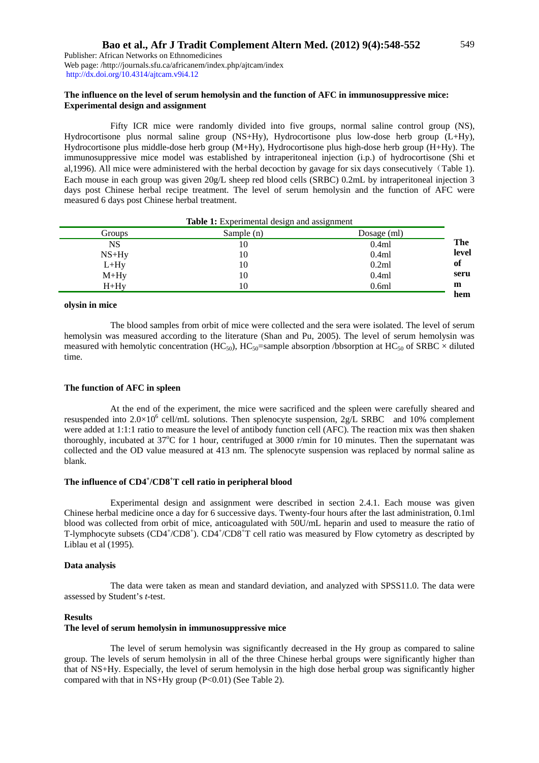# **Bao et al., Afr J Tradit Complement Altern Med. (2012) 9(4):548-552**

Publisher: African Networks on Ethnomedicines Web page: /http://journals.sfu.ca/africanem/index.php/ajtcam/index http://dx.doi.org/10.4314/ajtcam.v9i4.12

## **The influence on the level of serum hemolysin and the function of AFC in immunosuppressive mice: Experimental design and assignment**

 Fifty ICR mice were randomly divided into five groups, normal saline control group (NS), Hydrocortisone plus normal saline group (NS+Hy), Hydrocortisone plus low-dose herb group (L+Hy), Hydrocortisone plus middle-dose herb group (M+Hy), Hydrocortisone plus high-dose herb group (H+Hy). The immunosuppressive mice model was established by intraperitoneal injection (i.p.) of hydrocortisone (Shi et al,1996). All mice were administered with the herbal decoction by gavage for six days consecutively(Table 1). Each mouse in each group was given 20g/L sheep red blood cells (SRBC) 0.2mL by intraperitoneal injection 3 days post Chinese herbal recipe treatment. The level of serum hemolysin and the function of AFC were measured 6 days post Chinese herbal treatment.

| Table 1: Experimental design and assignment |  |
|---------------------------------------------|--|
|                                             |  |

|       | $-$         | $-$        |         |
|-------|-------------|------------|---------|
|       | Dosage (ml) | Sample (n) | Groups  |
| The   | 0.4ml       | 10         | NS      |
| level | 0.4ml       | 10         | $NS+Hy$ |
| of    | 0.2ml       | 10         | $L+Hy$  |
| seru  | 0.4ml       | 10         | $M+Hy$  |
| m     | 0.6ml       | 10         | $H+Hy$  |
| hem   |             |            |         |

## **olysin in mice**

 The blood samples from orbit of mice were collected and the sera were isolated. The level of serum hemolysin was measured according to the literature (Shan and Pu, 2005). The level of serum hemolysin was measured with hemolytic concentration (HC<sub>50</sub>), HC<sub>50</sub>=sample absorption /bbsorption at HC<sub>50</sub> of SRBC  $\times$  diluted time.

### **The function of AFC in spleen**

 At the end of the experiment, the mice were sacrificed and the spleen were carefully sheared and resuspended into  $2.0 \times 10^6$  cell/mL solutions. Then splenocyte suspension,  $2g/L$  SRBC and 10% complement were added at 1:1:1 ratio to measure the level of antibody function cell (AFC). The reaction mix was then shaken thoroughly, incubated at 37°C for 1 hour, centrifuged at 3000 r/min for 10 minutes. Then the supernatant was collected and the OD value measured at 413 nm. The splenocyte suspension was replaced by normal saline as blank.

## **The influence of CD4+ /CD8+ T cell ratio in peripheral blood**

 Experimental design and assignment were described in section 2.4.1. Each mouse was given Chinese herbal medicine once a day for 6 successive days. Twenty-four hours after the last administration, 0.1ml blood was collected from orbit of mice, anticoagulated with 50U/mL heparin and used to measure the ratio of T-lymphocyte subsets  $(CD4^{+}/CD8^{+})$ .  $CD4^{+}/CD8^{+}T$  cell ratio was measured by Flow cytometry as descripted by Liblau et al (1995)*.*

### **Data analysis**

 The data were taken as mean and standard deviation, and analyzed with SPSS11.0. The data were assessed by Student's *t*-test.

#### **Results**

### **The level of serum hemolysin in immunosuppressive mice**

 The level of serum hemolysin was significantly decreased in the Hy group as compared to saline group. The levels of serum hemolysin in all of the three Chinese herbal groups were significantly higher than that of NS+Hy. Especially, the level of serum hemolysin in the high dose herbal group was significantly higher compared with that in  $NS+Hy$  group  $(P<0.01)$  (See Table 2).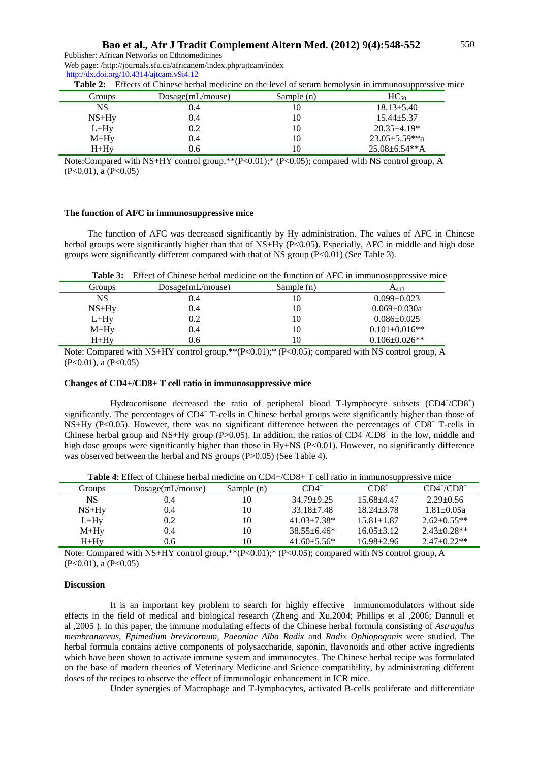## **Bao et al., Afr J Tradit Complement Altern Med. (2012) 9(4):548-552**

Publisher: African Networks on Ethnomedicines Web page: /http://journals.sfu.ca/africanem/index.php/ajtcam/index http://dx.doi.org/10.4314/ajtcam.v9i4.12 **Table 2:** Effects of Chinese herbal medicine on the level of serum hemolysin in immunosuppressive mice

| Groups  | Dosage(mL/mouse) | Sample (n) | $HC_{50}$            |  |  |
|---------|------------------|------------|----------------------|--|--|
| NS      | 0.4              | 10         | $18.13 \pm 5.40$     |  |  |
| $NS+Hy$ | 0.4              | 10         | $15.44 \pm 5.37$     |  |  |
| $L+Hy$  | 0.2              | 10         | $20.35 \pm 4.19*$    |  |  |
| $M+Hy$  | 0.4              | 10         | $23.05 \pm 5.59$ **a |  |  |
| $H+Hv$  | 0.6              |            | $25.08 \pm 6.54**$ A |  |  |

Note:Compared with NS+HY control group,\*\*(P<0.01);\* (P<0.05); compared with NS control group, A

(P<0.01), a (P<0.05)

#### **The function of AFC in immunosuppressive mice**

 The function of AFC was decreased significantly by Hy administration. The values of AFC in Chinese herbal groups were significantly higher than that of  $NS+Hy (P<0.05)$ . Especially, AFC in middle and high dose groups were significantly different compared with that of NS group (P<0.01) (See Table 3).

| Table 3: Effect of Chinese herbal medicine on the function of AFC in immunosuppressive mice |  |  |
|---------------------------------------------------------------------------------------------|--|--|
|---------------------------------------------------------------------------------------------|--|--|

| Groups  | Dosage(mL/mouse) | Sample (n) | $A_{413}$            |
|---------|------------------|------------|----------------------|
| NS      | 0.4              | 10         | $0.099 \pm 0.023$    |
| $NS+Hy$ | 0.4              | 10         | $0.069 \pm 0.030a$   |
| $L+Hy$  | 0.2              | 10         | $0.086 \pm 0.025$    |
| $M+Hy$  | 0.4              | 10         | $0.101 \pm 0.016**$  |
| $H+Hv$  | 9.6              | 10         | $0.106 \pm 0.026$ ** |

Note: Compared with NS+HY control group,\*\*(P<0.01);\* (P<0.05); compared with NS control group, A (P<0.01), a (P<0.05)

### **Changes of CD4+/CD8+ T cell ratio in immunosuppressive mice**

Hydrocortisone decreased the ratio of peripheral blood T-lymphocyte subsets (CD4+/CD8+) significantly. The percentages of CD4<sup>+</sup> T-cells in Chinese herbal groups were significantly higher than those of NS+Hy (P<0.05). However, there was no significant difference between the percentages of CD8<sup>+</sup> T-cells in Chinese herbal group and NS+Hy group (P>0.05). In addition, the ratios of  $CD4^{\dagger}/CD8^{\dagger}$  in the low, middle and high dose groups were significantly higher than those in Hy+NS (P<0.01). However, no significantly difference was observed between the herbal and NS groups (P $>0.05$ ) (See Table 4).

| <b>Table 4:</b> Effect of Chinese herbal medicine on CD4+/CD8+ T cell ratio in immunosuppressive mice |  |
|-------------------------------------------------------------------------------------------------------|--|
|                                                                                                       |  |

| Groups    | Dosage(mL/mouse) | Sample $(n)$ | $CD4^+$         | $CD8^+$        | $CD4^{\dagger}/CD8^{\dagger}$ |
|-----------|------------------|--------------|-----------------|----------------|-------------------------------|
| <b>NS</b> | 0.4              | 10           | $34.79 + 9.25$  | $15.68 + 4.47$ | $2.29 \pm 0.56$               |
| $NS+Hy$   | 0.4              | 10           | $33.18 + 7.48$  | $18.24 + 3.78$ | $1.81 + 0.05a$                |
| $L+Hy$    | 0.2              | 10           | $41.03 + 7.38*$ | $15.81 + 1.87$ | $2.62 + 0.55**$               |
| $M+Hy$    | 0.4              | 10           | $38.55 + 6.46*$ | $16.05 + 3.12$ | $2.43 + 0.28**$               |
| $H+Hv$    | 0.6              | 10           | $41.60 + 5.56*$ | $16.98 + 2.96$ | $2.47 + 0.22**$               |

Note: Compared with NS+HY control group,\*\*(P<0.01);\* (P<0.05); compared with NS control group, A (P<0.01), a (P<0.05)

#### **Discussion**

 It is an important key problem to search for highly effective immunomodulators without side effects in the field of medical and biological research (Zheng and Xu,2004; Phillips et al ,2006; Dannull et al ,2005 ). In this paper, the immune modulating effects of the Chinese herbal formula consisting of *Astragalus membranaceus, Epimedium brevicornum, Paeoniae Alba Radix* and *Radix Ophiopogonis* were studied. The herbal formula contains active components of polysaccharide, saponin, flavonoids and other active ingredients which have been shown to activate immune system and immunocytes. The Chinese herbal recipe was formulated on the base of modern theories of Veterinary Medicine and Science compatibility, by administrating different doses of the recipes to observe the effect of immunologic enhancement in ICR mice.

Under synergies of Macrophage and T-lymphocytes, activated B-cells proliferate and differentiate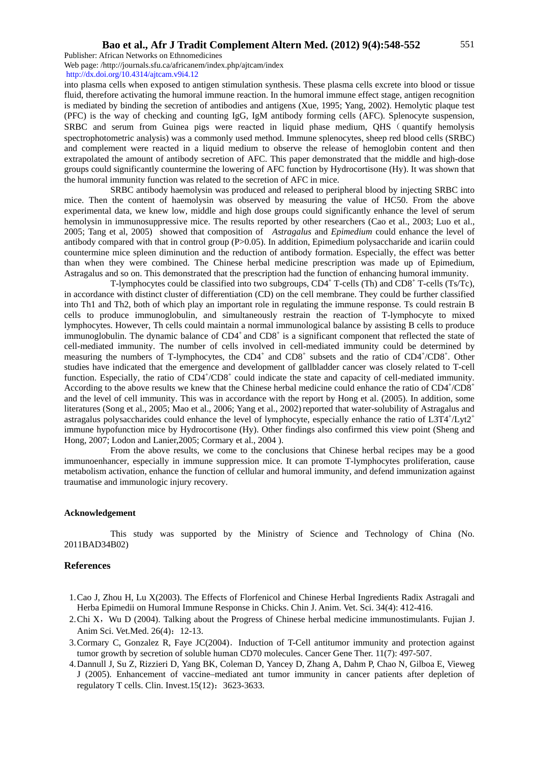# **Bao et al., Afr J Tradit Complement Altern Med. (2012) 9(4):548-552**

Publisher: African Networks on Ethnomedicines

Web page: /http://journals.sfu.ca/africanem/index.php/ajtcam/index http://dx.doi.org/10.4314/ajtcam.v9i4.12

into plasma cells when exposed to antigen stimulation synthesis. These plasma cells excrete into blood or tissue fluid, therefore activating the humoral immune reaction. In the humoral immune effect stage, antigen recognition is mediated by binding the secretion of antibodies and antigens (Xue, 1995; Yang, 2002). Hemolytic plaque test (PFC) is the way of checking and counting IgG, IgM antibody forming cells (AFC). Splenocyte suspension, SRBC and serum from Guinea pigs were reacted in liquid phase medium, OHS (quantify hemolysis spectrophotometric analysis) was a commonly used method. Immune splenocytes, sheep red blood cells (SRBC) and complement were reacted in a liquid medium to observe the release of hemoglobin content and then extrapolated the amount of antibody secretion of AFC. This paper demonstrated that the middle and high-dose groups could significantly countermine the lowering of AFC function by Hydrocortisone (Hy). It was shown that the humoral immunity function was related to the secretion of AFC in mice.

 SRBC antibody haemolysin was produced and released to peripheral blood by injecting SRBC into mice. Then the content of haemolysin was observed by measuring the value of HC50. From the above experimental data, we knew low, middle and high dose groups could significantly enhance the level of serum hemolysin in immunosuppressive mice. The results reported by other researchers (Cao et al., 2003; Luo et al., 2005; Tang et al, 2005) showed that composition of *Astragalus* and *Epimedium* could enhance the level of antibody compared with that in control group (P>0.05). In addition, Epimedium polysaccharide and icariin could countermine mice spleen diminution and the reduction of antibody formation. Especially, the effect was better than when they were combined. The Chinese herbal medicine prescription was made up of Epimedium, Astragalus and so on. This demonstrated that the prescription had the function of enhancing humoral immunity.

T-lymphocytes could be classified into two subgroups, CD4<sup>+</sup> T-cells (Th) and CD8<sup>+</sup> T-cells (Ts/Tc), in accordance with distinct cluster of differentiation (CD) on the cell membrane. They could be further classified into Th1 and Th2, both of which play an important role in regulating the immune response. Ts could restrain B cells to produce immunoglobulin, and simultaneously restrain the reaction of T-lymphocyte to mixed lymphocytes. However, Th cells could maintain a normal immunological balance by assisting B cells to produce immunoglobulin. The dynamic balance of  $CD4^+$  and  $CD8^+$  is a significant component that reflected the state of cell-mediated immunity. The number of cells involved in cell-mediated immunity could be determined by measuring the numbers of T-lymphocytes, the CD4<sup>+</sup> and CD8<sup>+</sup> subsets and the ratio of CD4<sup>+</sup>/CD8<sup>+</sup>. Other studies have indicated that the emergence and development of gallbladder cancer was closely related to T-cell function. Especially, the ratio of CD4+/CD8+ could indicate the state and capacity of cell-mediated immunity. According to the above results we knew that the Chinese herbal medicine could enhance the ratio of CD4+/CD8+ and the level of cell immunity. This was in accordance with the report by Hong et al. (2005). In addition, some literatures (Song et al., 2005; Mao et al., 2006; Yang et al., 2002) reported that water-solubility of Astragalus and astragalus polysaccharides could enhance the level of lymphocyte, especially enhance the ratio of L3T4+/Lyt2+ immune hypofunction mice by Hydrocortisone (Hy). Other findings also confirmed this view point (Sheng and Hong, 2007; Lodon and Lanier,2005; Cormary et al., 2004 ).

 From the above results, we come to the conclusions that Chinese herbal recipes may be a good immunoenhancer, especially in immune suppression mice. It can promote T-lymphocytes proliferation, cause metabolism activation, enhance the function of cellular and humoral immunity, and defend immunization against traumatise and immunologic injury recovery.

### **Acknowledgement**

 This study was supported by the Ministry of Science and Technology of China (No. 2011BAD34B02)

### **References**

- 1.Cao J, Zhou H, Lu X(2003). The Effects of Florfenicol and Chinese Herbal Ingredients Radix Astragali and Herba Epimedii on Humoral Immune Response in Chicks. Chin J. Anim. Vet. Sci. 34(4): 412-416.
- 2. Chi X, Wu D (2004). Talking about the Progress of Chinese herbal medicine immunostimulants. Fujian J. Anim Sci. Vet.Med. 26(4): 12-13.
- 3. Cormary C, Gonzalez R, Faye JC(2004). Induction of T-Cell antitumor immunity and protection against tumor growth by secretion of soluble human CD70 molecules. Cancer Gene Ther. 11(7): 497-507.
- 4.Dannull J, Su Z, Rizzieri D, Yang BK, Coleman D, Yancey D, Zhang A, Dahm P, Chao N, Gilboa E, Vieweg J (2005). Enhancement of vaccine–mediated ant tumor immunity in cancer patients after depletion of regulatory T cells. Clin. Invest.15(12): 3623-3633.